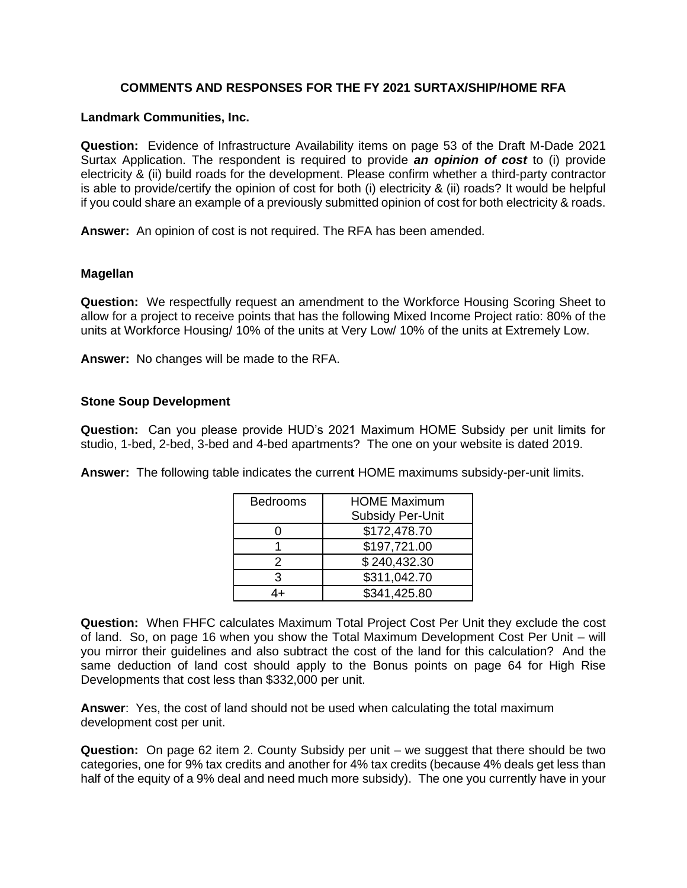## **COMMENTS AND RESPONSES FOR THE FY 2021 SURTAX/SHIP/HOME RFA**

## **Landmark Communities, Inc.**

**Question:** Evidence of Infrastructure Availability items on page 53 of the Draft M-Dade 2021 Surtax Application. The respondent is required to provide *an opinion of cost* to (i) provide electricity & (ii) build roads for the development. Please confirm whether a third-party contractor is able to provide/certify the opinion of cost for both (i) electricity & (ii) roads? It would be helpful if you could share an example of a previously submitted opinion of cost for both electricity & roads.

**Answer:** An opinion of cost is not required. The RFA has been amended.

#### **Magellan**

**Question:** We respectfully request an amendment to the Workforce Housing Scoring Sheet to allow for a project to receive points that has the following Mixed Income Project ratio: 80% of the units at Workforce Housing/ 10% of the units at Very Low/ 10% of the units at Extremely Low.

**Answer:** No changes will be made to the RFA.

## **Stone Soup Development**

**Question:** Can you please provide HUD's 2021 Maximum HOME Subsidy per unit limits for studio, 1-bed, 2-bed, 3-bed and 4-bed apartments? The one on your website is dated 2019.

**Answer:** The following table indicates the curren**t** HOME maximums subsidy-per-unit limits.

| <b>Bedrooms</b> | <b>HOME Maximum</b><br><b>Subsidy Per-Unit</b> |
|-----------------|------------------------------------------------|
|                 | \$172,478.70                                   |
|                 | \$197,721.00                                   |
| 2               | \$240,432.30                                   |
| З               | \$311,042.70                                   |
|                 | \$341,425.80                                   |

**Question:** When FHFC calculates Maximum Total Project Cost Per Unit they exclude the cost of land. So, on page 16 when you show the Total Maximum Development Cost Per Unit – will you mirror their guidelines and also subtract the cost of the land for this calculation? And the same deduction of land cost should apply to the Bonus points on page 64 for High Rise Developments that cost less than \$332,000 per unit.

**Answer**: Yes, the cost of land should not be used when calculating the total maximum development cost per unit.

**Question:** On page 62 item 2. County Subsidy per unit – we suggest that there should be two categories, one for 9% tax credits and another for 4% tax credits (because 4% deals get less than half of the equity of a 9% deal and need much more subsidy). The one you currently have in your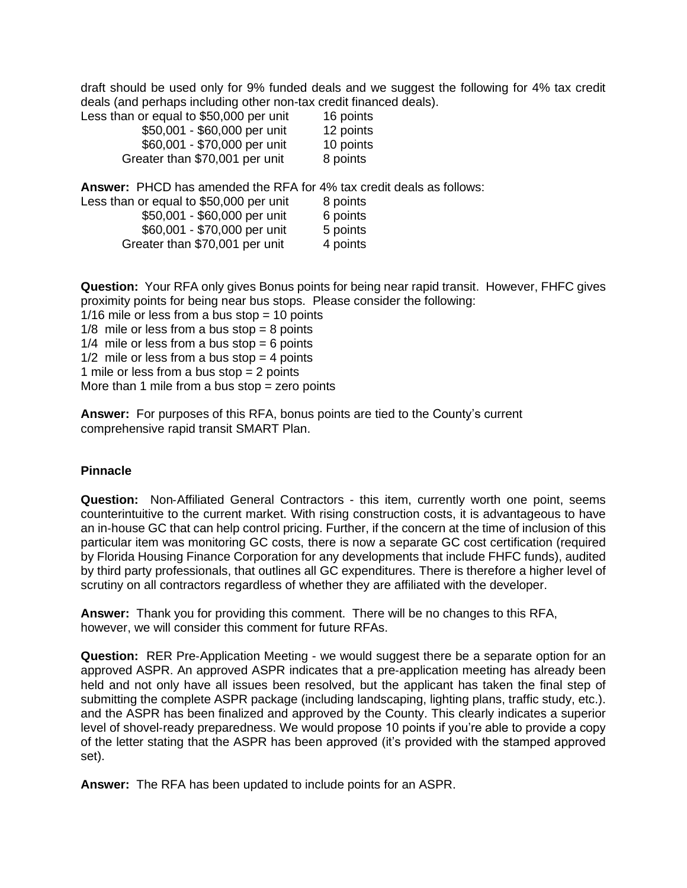draft should be used only for 9% funded deals and we suggest the following for 4% tax credit deals (and perhaps including other non-tax credit financed deals).

| Less than or equal to \$50,000 per unit<br>16 points |           |
|------------------------------------------------------|-----------|
| \$50,001 - \$60,000 per unit                         | 12 points |
| \$60,001 - \$70,000 per unit                         | 10 points |
| Greater than \$70,001 per unit                       | 8 points  |

**Answer:** PHCD has amended the RFA for 4% tax credit deals as follows:

| Less than or equal to \$50,000 per unit | 8 points |
|-----------------------------------------|----------|
| \$50,001 - \$60,000 per unit            | 6 points |
| \$60,001 - \$70,000 per unit            | 5 points |
| Greater than \$70,001 per unit          | 4 points |

**Question:** Your RFA only gives Bonus points for being near rapid transit. However, FHFC gives proximity points for being near bus stops. Please consider the following:

 $1/16$  mile or less from a bus stop = 10 points  $1/8$  mile or less from a bus stop = 8 points  $1/4$  mile or less from a bus stop = 6 points  $1/2$  mile or less from a bus stop = 4 points 1 mile or less from a bus stop = 2 points More than 1 mile from a bus stop  $=$  zero points

**Answer:** For purposes of this RFA, bonus points are tied to the County's current comprehensive rapid transit SMART Plan.

# **Pinnacle**

**Question:** Non‐Affiliated General Contractors - this item, currently worth one point, seems counterintuitive to the current market. With rising construction costs, it is advantageous to have an in‐house GC that can help control pricing. Further, if the concern at the time of inclusion of this particular item was monitoring GC costs, there is now a separate GC cost certification (required by Florida Housing Finance Corporation for any developments that include FHFC funds), audited by third party professionals, that outlines all GC expenditures. There is therefore a higher level of scrutiny on all contractors regardless of whether they are affiliated with the developer.

**Answer:** Thank you for providing this comment. There will be no changes to this RFA, however, we will consider this comment for future RFAs.

**Question:** RER Pre‐Application Meeting - we would suggest there be a separate option for an approved ASPR. An approved ASPR indicates that a pre‐application meeting has already been held and not only have all issues been resolved, but the applicant has taken the final step of submitting the complete ASPR package (including landscaping, lighting plans, traffic study, etc.). and the ASPR has been finalized and approved by the County. This clearly indicates a superior level of shovel‐ready preparedness. We would propose 10 points if you're able to provide a copy of the letter stating that the ASPR has been approved (it's provided with the stamped approved set).

**Answer:** The RFA has been updated to include points for an ASPR.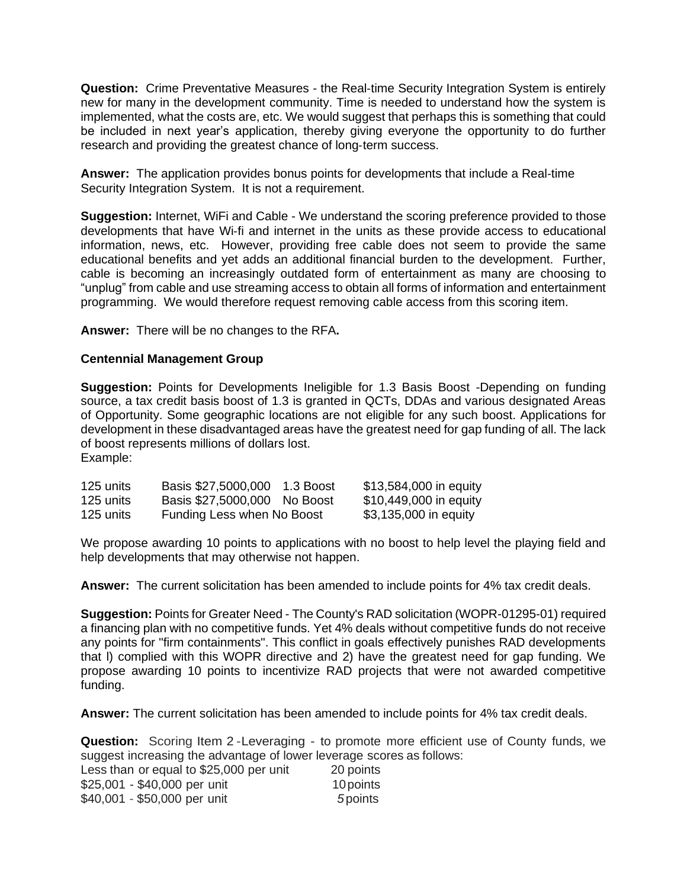**Question:** Crime Preventative Measures - the Real‐time Security Integration System is entirely new for many in the development community. Time is needed to understand how the system is implemented, what the costs are, etc. We would suggest that perhaps this is something that could be included in next year's application, thereby giving everyone the opportunity to do further research and providing the greatest chance of long-term success.

**Answer:** The application provides bonus points for developments that include a Real‐time Security Integration System. It is not a requirement.

**Suggestion:** Internet, WiFi and Cable - We understand the scoring preference provided to those developments that have Wi-fi and internet in the units as these provide access to educational information, news, etc. However, providing free cable does not seem to provide the same educational benefits and yet adds an additional financial burden to the development. Further, cable is becoming an increasingly outdated form of entertainment as many are choosing to "unplug" from cable and use streaming access to obtain all forms of information and entertainment programming. We would therefore request removing cable access from this scoring item.

**Answer:** There will be no changes to the RFA**.**

#### **Centennial Management Group**

**Suggestion:** Points for Developments Ineligible for 1.3 Basis Boost -Depending on funding source, a tax credit basis boost of 1.3 is granted in QCTs, DDAs and various designated Areas of Opportunity. Some geographic locations are not eligible for any such boost. Applications for development in these disadvantaged areas have the greatest need for gap funding of all. The lack of boost represents millions of dollars lost. Example:

| 125 units | Basis \$27,5000,000          | 1.3 Boost | \$13,584,000 in equity |
|-----------|------------------------------|-----------|------------------------|
| 125 units | Basis \$27,5000,000 No Boost |           | \$10,449,000 in equity |
| 125 units | Funding Less when No Boost   |           | \$3,135,000 in equity  |

We propose awarding 10 points to applications with no boost to help level the playing field and help developments that may otherwise not happen.

**Answer:** The current solicitation has been amended to include points for 4% tax credit deals.

**Suggestion:** Points for Greater Need - The County's RAD solicitation (WOPR-01295-01) required a financing plan with no competitive funds. Yet 4% deals without competitive funds do not receive any points for "firm containments". This conflict in goals effectively punishes RAD developments that l) complied with this WOPR directive and 2) have the greatest need for gap funding. We propose awarding 10 points to incentivize RAD projects that were not awarded competitive funding.

**Answer:** The current solicitation has been amended to include points for 4% tax credit deals.

**Question:** Scoring Item 2 -Leveraging - to promote more efficient use of County funds, we suggest increasing the advantage of lower leverage scores as follows: Less than or equal to \$25,000 per unit 20 points \$25,001 - \$40,000 per unit 10 points \$40,001 - \$50,000 per unit *5* points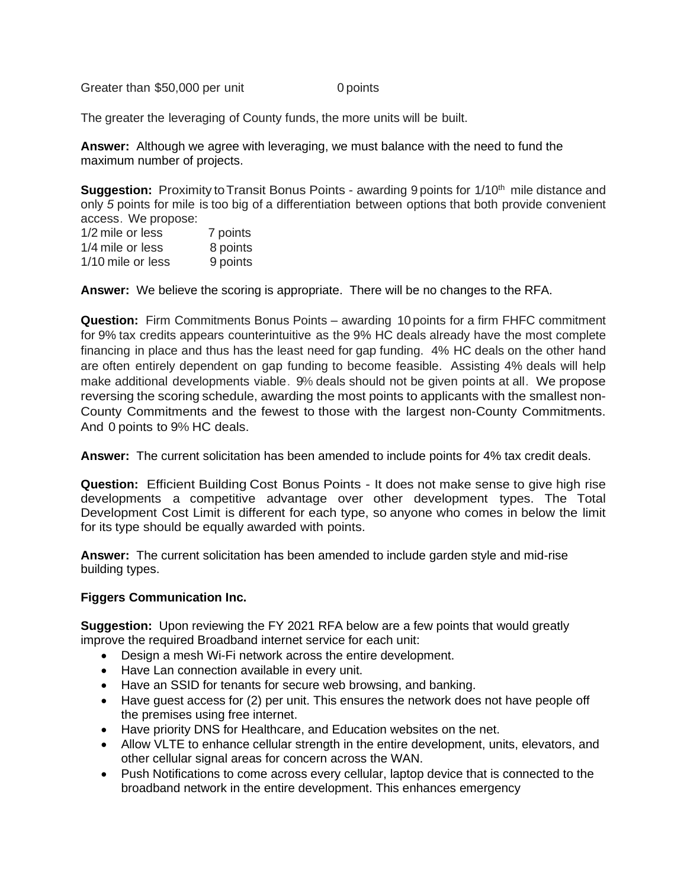Greater than \$50,000 per unit 0 points

The greater the leveraging of County funds, the more units will be built.

**Answer:** Although we agree with leveraging, we must balance with the need to fund the maximum number of projects.

**Suggestion:** Proximity to Transit Bonus Points - awarding 9 points for 1/10<sup>th</sup> mile distance and only *5* points for mile is too big of a differentiation between options that both provide convenient access. We propose:

| 1/2 mile or less  | 7 points |
|-------------------|----------|
| 1/4 mile or less  | 8 points |
| 1/10 mile or less | 9 points |

**Answer:** We believe the scoring is appropriate. There will be no changes to the RFA.

**Question:** Firm Commitments Bonus Points – awarding 10 points for a firm FHFC commitment for 9% tax credits appears counterintuitive as the 9% HC deals already have the most complete financing in place and thus has the least need for gap funding. 4% HC deals on the other hand are often entirely dependent on gap funding to become feasible. Assisting 4% deals will help make additional developments viable. 9% deals should not be given points at all. We propose reversing the scoring schedule, awarding the most points to applicants with the smallest non-County Commitments and the fewest to those with the largest non-County Commitments. And 0 points to 9% HC deals.

**Answer:** The current solicitation has been amended to include points for 4% tax credit deals.

**Question:** Efficient Building Cost Bonus Points - It does not make sense to give high rise developments a competitive advantage over other development types. The Total Development Cost Limit is different for each type, so anyone who comes in below the limit for its type should be equally awarded with points.

**Answer:** The current solicitation has been amended to include garden style and mid-rise building types.

## **Figgers Communication Inc.**

**Suggestion:** Upon reviewing the FY 2021 RFA below are a few points that would greatly improve the required Broadband internet service for each unit:

- Design a mesh Wi-Fi network across the entire development.
- Have Lan connection available in every unit.
- Have an SSID for tenants for secure web browsing, and banking.
- Have quest access for (2) per unit. This ensures the network does not have people off the premises using free internet.
- Have priority DNS for Healthcare, and Education websites on the net.
- Allow VLTE to enhance cellular strength in the entire development, units, elevators, and other cellular signal areas for concern across the WAN.
- Push Notifications to come across every cellular, laptop device that is connected to the broadband network in the entire development. This enhances emergency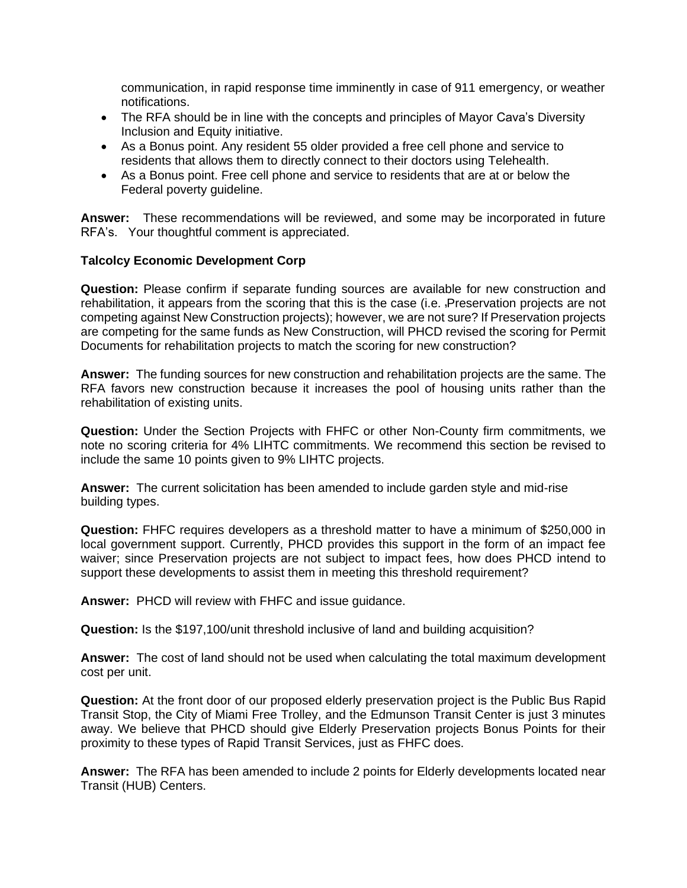communication, in rapid response time imminently in case of 911 emergency, or weather notifications.

- The RFA should be in line with the concepts and principles of Mayor Cava's Diversity Inclusion and Equity initiative.
- As a Bonus point. Any resident 55 older provided a free cell phone and service to residents that allows them to directly connect to their doctors using Telehealth.
- As a Bonus point. Free cell phone and service to residents that are at or below the Federal poverty guideline.

**Answer:** These recommendations will be reviewed, and some may be incorporated in future RFA's. Your thoughtful comment is appreciated.

## **Talcolcy Economic Development Corp**

**Question:** Please confirm if separate funding sources are available for new construction and rehabilitation, it appears from the scoring that this is the case (i.e. Preservation projects are not competing against New Construction projects); however, we are not sure? If Preservation projects are competing for the same funds as New Construction, will PHCD revised the scoring for Permit Documents for rehabilitation projects to match the scoring for new construction?

**Answer:** The funding sources for new construction and rehabilitation projects are the same. The RFA favors new construction because it increases the pool of housing units rather than the rehabilitation of existing units.

**Question:** Under the Section Projects with FHFC or other Non-County firm commitments, we note no scoring criteria for 4% LIHTC commitments. We recommend this section be revised to include the same 10 points given to 9% LIHTC projects.

**Answer:** The current solicitation has been amended to include garden style and mid-rise building types.

**Question:** FHFC requires developers as a threshold matter to have a minimum of \$250,000 in local government support. Currently, PHCD provides this support in the form of an impact fee waiver; since Preservation projects are not subject to impact fees, how does PHCD intend to support these developments to assist them in meeting this threshold requirement?

**Answer:** PHCD will review with FHFC and issue guidance.

**Question:** Is the \$197,100/unit threshold inclusive of land and building acquisition?

**Answer:** The cost of land should not be used when calculating the total maximum development cost per unit.

**Question:** At the front door of our proposed elderly preservation project is the Public Bus Rapid Transit Stop, the City of Miami Free Trolley, and the Edmunson Transit Center is just 3 minutes away. We believe that PHCD should give Elderly Preservation projects Bonus Points for their proximity to these types of Rapid Transit Services, just as FHFC does.

**Answer:** The RFA has been amended to include 2 points for Elderly developments located near Transit (HUB) Centers.